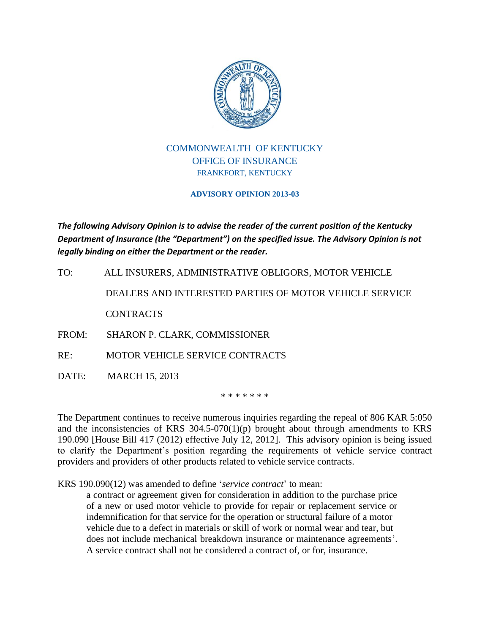

## COMMONWEALTH OF KENTUCKY OFFICE OF INSURANCE FRANKFORT, KENTUCKY

## **ADVISORY OPINION 2013-03**

*The following Advisory Opinion is to advise the reader of the current position of the Kentucky Department of Insurance (the "Department") on the specified issue. The Advisory Opinion is not legally binding on either the Department or the reader.*

TO: ALL INSURERS, ADMINISTRATIVE OBLIGORS, MOTOR VEHICLE DEALERS AND INTERESTED PARTIES OF MOTOR VEHICLE SERVICE CONTRACTS

FROM: SHARON P. CLARK, COMMISSIONER

RE: MOTOR VEHICLE SERVICE CONTRACTS

DATE: MARCH 15, 2013

\* \* \* \* \* \* \*

The Department continues to receive numerous inquiries regarding the repeal of 806 KAR 5:050 and the inconsistencies of KRS  $304.5-070(1)(p)$  brought about through amendments to KRS 190.090 [House Bill 417 (2012) effective July 12, 2012]. This advisory opinion is being issued to clarify the Department's position regarding the requirements of vehicle service contract providers and providers of other products related to vehicle service contracts.

KRS 190.090(12) was amended to define '*service contract*' to mean:

a contract or agreement given for consideration in addition to the purchase price of a new or used motor vehicle to provide for repair or replacement service or indemnification for that service for the operation or structural failure of a motor vehicle due to a defect in materials or skill of work or normal wear and tear, but does not include mechanical breakdown insurance or maintenance agreements'. A service contract shall not be considered a contract of, or for, insurance.